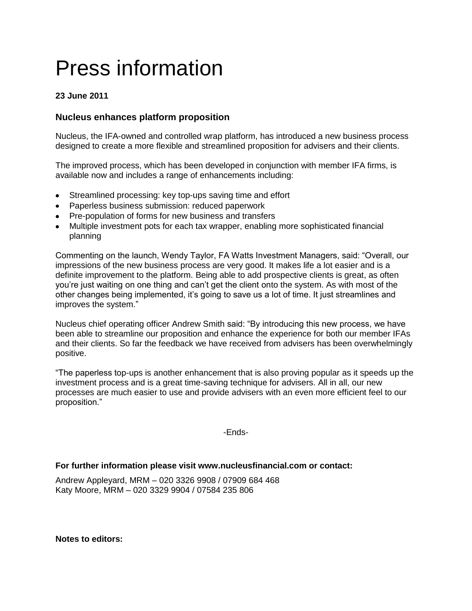# Press information

## **23 June 2011**

## **Nucleus enhances platform proposition**

Nucleus, the IFA-owned and controlled wrap platform, has introduced a new business process designed to create a more flexible and streamlined proposition for advisers and their clients.

The improved process, which has been developed in conjunction with member IFA firms, is available now and includes a range of enhancements including:

- Streamlined processing: key top-ups saving time and effort
- Paperless business submission: reduced paperwork
- Pre-population of forms for new business and transfers
- Multiple investment pots for each tax wrapper, enabling more sophisticated financial planning

Commenting on the launch, Wendy Taylor, FA Watts Investment Managers, said: "Overall, our impressions of the new business process are very good. It makes life a lot easier and is a definite improvement to the platform. Being able to add prospective clients is great, as often you're just waiting on one thing and can't get the client onto the system. As with most of the other changes being implemented, it's going to save us a lot of time. It just streamlines and improves the system."

Nucleus chief operating officer Andrew Smith said: "By introducing this new process, we have been able to streamline our proposition and enhance the experience for both our member IFAs and their clients. So far the feedback we have received from advisers has been overwhelmingly positive.

"The paperless top-ups is another enhancement that is also proving popular as it speeds up the investment process and is a great time-saving technique for advisers. All in all, our new processes are much easier to use and provide advisers with an even more efficient feel to our proposition."

-Ends-

#### **For further information please visit www.nucleusfinancial.com or contact:**

Andrew Appleyard, MRM – 020 3326 9908 / 07909 684 468 Katy Moore, MRM – 020 3329 9904 / 07584 235 806

**Notes to editors:**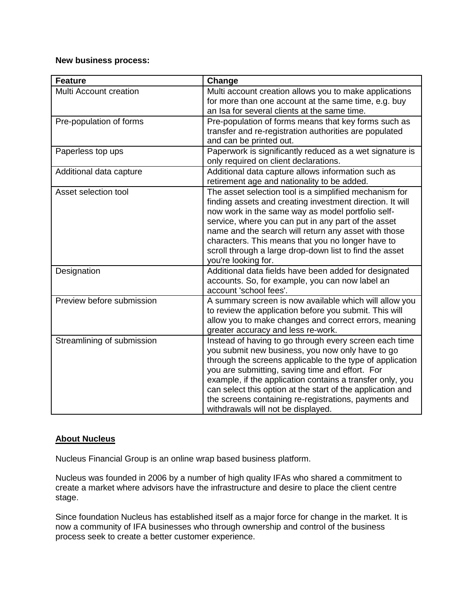#### **New business process:**

| <b>Feature</b>             | Change                                                     |
|----------------------------|------------------------------------------------------------|
| Multi Account creation     | Multi account creation allows you to make applications     |
|                            | for more than one account at the same time, e.g. buy       |
|                            | an Isa for several clients at the same time.               |
| Pre-population of forms    | Pre-population of forms means that key forms such as       |
|                            | transfer and re-registration authorities are populated     |
|                            | and can be printed out.                                    |
| Paperless top ups          | Paperwork is significantly reduced as a wet signature is   |
|                            | only required on client declarations.                      |
| Additional data capture    | Additional data capture allows information such as         |
|                            | retirement age and nationality to be added.                |
| Asset selection tool       | The asset selection tool is a simplified mechanism for     |
|                            | finding assets and creating investment direction. It will  |
|                            | now work in the same way as model portfolio self-          |
|                            | service, where you can put in any part of the asset        |
|                            | name and the search will return any asset with those       |
|                            | characters. This means that you no longer have to          |
|                            | scroll through a large drop-down list to find the asset    |
|                            | you're looking for.                                        |
| Designation                | Additional data fields have been added for designated      |
|                            | accounts. So, for example, you can now label an            |
|                            | account 'school fees'.                                     |
| Preview before submission  | A summary screen is now available which will allow you     |
|                            | to review the application before you submit. This will     |
|                            | allow you to make changes and correct errors, meaning      |
|                            | greater accuracy and less re-work.                         |
| Streamlining of submission | Instead of having to go through every screen each time     |
|                            | you submit new business, you now only have to go           |
|                            | through the screens applicable to the type of application  |
|                            | you are submitting, saving time and effort. For            |
|                            | example, if the application contains a transfer only, you  |
|                            | can select this option at the start of the application and |
|                            | the screens containing re-registrations, payments and      |
|                            | withdrawals will not be displayed.                         |

### **About Nucleus**

Nucleus Financial Group is an online wrap based business platform.

Nucleus was founded in 2006 by a number of high quality IFAs who shared a commitment to create a market where advisors have the infrastructure and desire to place the client centre stage.

Since foundation Nucleus has established itself as a major force for change in the market. It is now a community of IFA businesses who through ownership and control of the business process seek to create a better customer experience.